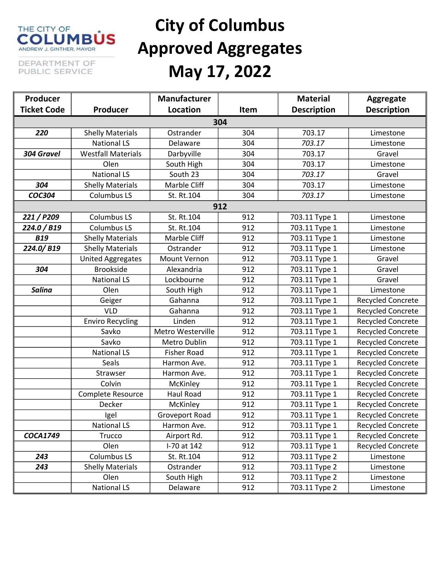#### THE CITY OF **NBUS** ANDREW J. GINTHER, MAYOR

## City of Columbus Approved Aggregates May 17, 2022

DEPARTMENT OF PUBLIC SERVICE

| Producer           |                           | <b>Manufacturer</b> |      | <b>Material</b>    | Aggregate                |  |  |  |
|--------------------|---------------------------|---------------------|------|--------------------|--------------------------|--|--|--|
| <b>Ticket Code</b> | Producer                  | Location            | Item | <b>Description</b> | <b>Description</b>       |  |  |  |
| 304                |                           |                     |      |                    |                          |  |  |  |
| 220                | <b>Shelly Materials</b>   | Ostrander           | 304  | 703.17             | Limestone                |  |  |  |
|                    | <b>National LS</b>        | Delaware            | 304  | 703.17             | Limestone                |  |  |  |
| 304 Gravel         | <b>Westfall Materials</b> | Darbyville          | 304  | 703.17             | Gravel                   |  |  |  |
|                    | Olen                      | South High          | 304  | 703.17             | Limestone                |  |  |  |
|                    | <b>National LS</b>        | South 23            | 304  | 703.17             | Gravel                   |  |  |  |
| 304                | <b>Shelly Materials</b>   | Marble Cliff        | 304  | 703.17             | Limestone                |  |  |  |
| <b>COC304</b>      | <b>Columbus LS</b>        | St. Rt.104          | 304  | 703.17             | Limestone                |  |  |  |
| 912                |                           |                     |      |                    |                          |  |  |  |
| 221/P209           | <b>Columbus LS</b>        | St. Rt.104          | 912  | 703.11 Type 1      | Limestone                |  |  |  |
| 224.0 / B19        | <b>Columbus LS</b>        | St. Rt.104          | 912  | 703.11 Type 1      | Limestone                |  |  |  |
| <b>B19</b>         | <b>Shelly Materials</b>   | Marble Cliff        | 912  | 703.11 Type 1      | Limestone                |  |  |  |
| 224.0/B19          | <b>Shelly Materials</b>   | Ostrander           | 912  | 703.11 Type 1      | Limestone                |  |  |  |
|                    | <b>United Aggregates</b>  | Mount Vernon        | 912  | 703.11 Type 1      | Gravel                   |  |  |  |
| 304                | <b>Brookside</b>          | Alexandria          | 912  | 703.11 Type 1      | Gravel                   |  |  |  |
|                    | <b>National LS</b>        | Lockbourne          | 912  | 703.11 Type 1      | Gravel                   |  |  |  |
| <b>Salina</b>      | Olen                      | South High          | 912  | 703.11 Type 1      | Limestone                |  |  |  |
|                    | Geiger                    | Gahanna             | 912  | 703.11 Type 1      | <b>Recycled Concrete</b> |  |  |  |
|                    | <b>VLD</b>                | Gahanna             | 912  | 703.11 Type 1      | <b>Recycled Concrete</b> |  |  |  |
|                    | <b>Enviro Recycling</b>   | Linden              | 912  | 703.11 Type 1      | <b>Recycled Concrete</b> |  |  |  |
|                    | Savko                     | Metro Westerville   | 912  | 703.11 Type 1      | <b>Recycled Concrete</b> |  |  |  |
|                    | Savko                     | Metro Dublin        | 912  | 703.11 Type 1      | <b>Recycled Concrete</b> |  |  |  |
|                    | <b>National LS</b>        | <b>Fisher Road</b>  | 912  | 703.11 Type 1      | <b>Recycled Concrete</b> |  |  |  |
|                    | Seals                     | Harmon Ave.         | 912  | 703.11 Type 1      | <b>Recycled Concrete</b> |  |  |  |
|                    | Strawser                  | Harmon Ave.         | 912  | 703.11 Type 1      | <b>Recycled Concrete</b> |  |  |  |
|                    | Colvin                    | McKinley            | 912  | 703.11 Type 1      | <b>Recycled Concrete</b> |  |  |  |
|                    | Complete Resource         | <b>Haul Road</b>    | 912  | 703.11 Type 1      | <b>Recycled Concrete</b> |  |  |  |
|                    | Decker                    | McKinley            | 912  | 703.11 Type 1      | <b>Recycled Concrete</b> |  |  |  |
|                    | Igel                      | Groveport Road      | 912  | 703.11 Type 1      | <b>Recycled Concrete</b> |  |  |  |
|                    | <b>National LS</b>        | Harmon Ave.         | 912  | 703.11 Type 1      | <b>Recycled Concrete</b> |  |  |  |
| <b>COCA1749</b>    | <b>Trucco</b>             | Airport Rd.         | 912  | 703.11 Type 1      | <b>Recycled Concrete</b> |  |  |  |
|                    | Olen                      | I-70 at 142         | 912  | 703.11 Type 1      | <b>Recycled Concrete</b> |  |  |  |
| 243                | Columbus LS               | St. Rt.104          | 912  | 703.11 Type 2      | Limestone                |  |  |  |
| 243                | <b>Shelly Materials</b>   | Ostrander           | 912  | 703.11 Type 2      | Limestone                |  |  |  |
|                    | Olen                      | South High          | 912  | 703.11 Type 2      | Limestone                |  |  |  |
|                    | <b>National LS</b>        | Delaware            | 912  | 703.11 Type 2      | Limestone                |  |  |  |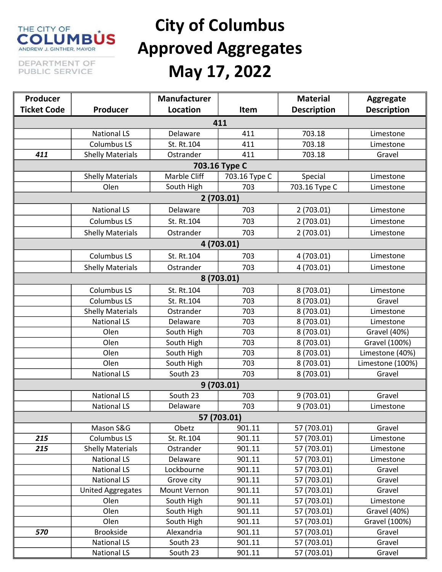#### THE CITY OF **NBÙS** ANDREW J. GINTHER, MAYOR

DEPARTMENT OF PUBLIC SERVICE

# City of Columbus Approved Aggregates May 17, 2022

| Producer           |                          | <b>Manufacturer</b> |               | <b>Material</b>    | Aggregate           |  |  |
|--------------------|--------------------------|---------------------|---------------|--------------------|---------------------|--|--|
| <b>Ticket Code</b> | Producer                 | Location            | Item          | <b>Description</b> | <b>Description</b>  |  |  |
| 411                |                          |                     |               |                    |                     |  |  |
|                    | <b>National LS</b>       | Delaware            | 411           | 703.18             | Limestone           |  |  |
|                    | <b>Columbus LS</b>       | St. Rt.104          | 411           | 703.18             | Limestone           |  |  |
| 411                | <b>Shelly Materials</b>  | Ostrander           | 411           | 703.18             | Gravel              |  |  |
| 703.16 Type C      |                          |                     |               |                    |                     |  |  |
|                    | <b>Shelly Materials</b>  | Marble Cliff        | 703.16 Type C | Special            | Limestone           |  |  |
|                    | Olen                     | South High          | 703           | 703.16 Type C      | Limestone           |  |  |
|                    |                          |                     | 2(703.01)     |                    |                     |  |  |
|                    | <b>National LS</b>       | Delaware            | 703           | 2(703.01)          | Limestone           |  |  |
|                    | <b>Columbus LS</b>       | St. Rt.104          | 703           | 2(703.01)          | Limestone           |  |  |
|                    | <b>Shelly Materials</b>  | Ostrander           | 703           | 2(703.01)          | Limestone           |  |  |
|                    |                          |                     | 4 (703.01)    |                    |                     |  |  |
|                    | <b>Columbus LS</b>       | St. Rt.104          | 703           | 4 (703.01)         | Limestone           |  |  |
|                    | <b>Shelly Materials</b>  | Ostrander           | 703           | 4 (703.01)         | Limestone           |  |  |
|                    |                          |                     | 8 (703.01)    |                    |                     |  |  |
|                    | <b>Columbus LS</b>       | St. Rt.104          | 703           | 8 (703.01)         | Limestone           |  |  |
|                    | <b>Columbus LS</b>       | St. Rt.104          | 703           | 8 (703.01)         | Gravel              |  |  |
|                    | <b>Shelly Materials</b>  | Ostrander           | 703           | 8 (703.01)         | Limestone           |  |  |
|                    | <b>National LS</b>       | Delaware            | 703           | 8 (703.01)         | Limestone           |  |  |
|                    | Olen                     | South High          | 703           | 8 (703.01)         | <b>Gravel (40%)</b> |  |  |
|                    | Olen                     | South High          | 703           | 8 (703.01)         | Gravel (100%)       |  |  |
|                    | Olen                     | South High          | 703           | 8 (703.01)         | Limestone (40%)     |  |  |
|                    | Olen                     | South High          | 703           | 8 (703.01)         | Limestone (100%)    |  |  |
|                    | <b>National LS</b>       | South 23            | 703           | 8 (703.01)         | Gravel              |  |  |
|                    |                          |                     | 9(703.01)     |                    |                     |  |  |
|                    | <b>National LS</b>       | South 23            | 703           | 9(703.01)          | Gravel              |  |  |
|                    | <b>National LS</b>       | Delaware            | 703           | 9(703.01)          | Limestone           |  |  |
|                    |                          |                     | 57 (703.01)   |                    |                     |  |  |
|                    | Mason S&G                | Obetz               | 901.11        | 57 (703.01)        | Gravel              |  |  |
| 215                | <b>Columbus LS</b>       | St. Rt.104          | 901.11        | 57 (703.01)        | Limestone           |  |  |
| 215                | <b>Shelly Materials</b>  | Ostrander           | 901.11        | 57 (703.01)        | Limestone           |  |  |
|                    | <b>National LS</b>       | Delaware            | 901.11        | 57 (703.01)        | Limestone           |  |  |
|                    | <b>National LS</b>       | Lockbourne          | 901.11        | 57 (703.01)        | Gravel              |  |  |
|                    | <b>National LS</b>       | Grove city          | 901.11        | 57 (703.01)        | Gravel              |  |  |
|                    | <b>United Aggregates</b> | Mount Vernon        | 901.11        | 57 (703.01)        | Gravel              |  |  |
|                    | Olen                     | South High          | 901.11        | 57 (703.01)        | Limestone           |  |  |
|                    | Olen                     | South High          | 901.11        | 57 (703.01)        | <b>Gravel (40%)</b> |  |  |
|                    | Olen                     | South High          | 901.11        | 57 (703.01)        | Gravel (100%)       |  |  |
| 570                | Brookside                | Alexandria          | 901.11        | 57 (703.01)        | Gravel              |  |  |
|                    | <b>National LS</b>       | South 23            | 901.11        | 57 (703.01)        | Gravel              |  |  |
|                    | <b>National LS</b>       | South 23            | 901.11        | 57 (703.01)        | Gravel              |  |  |